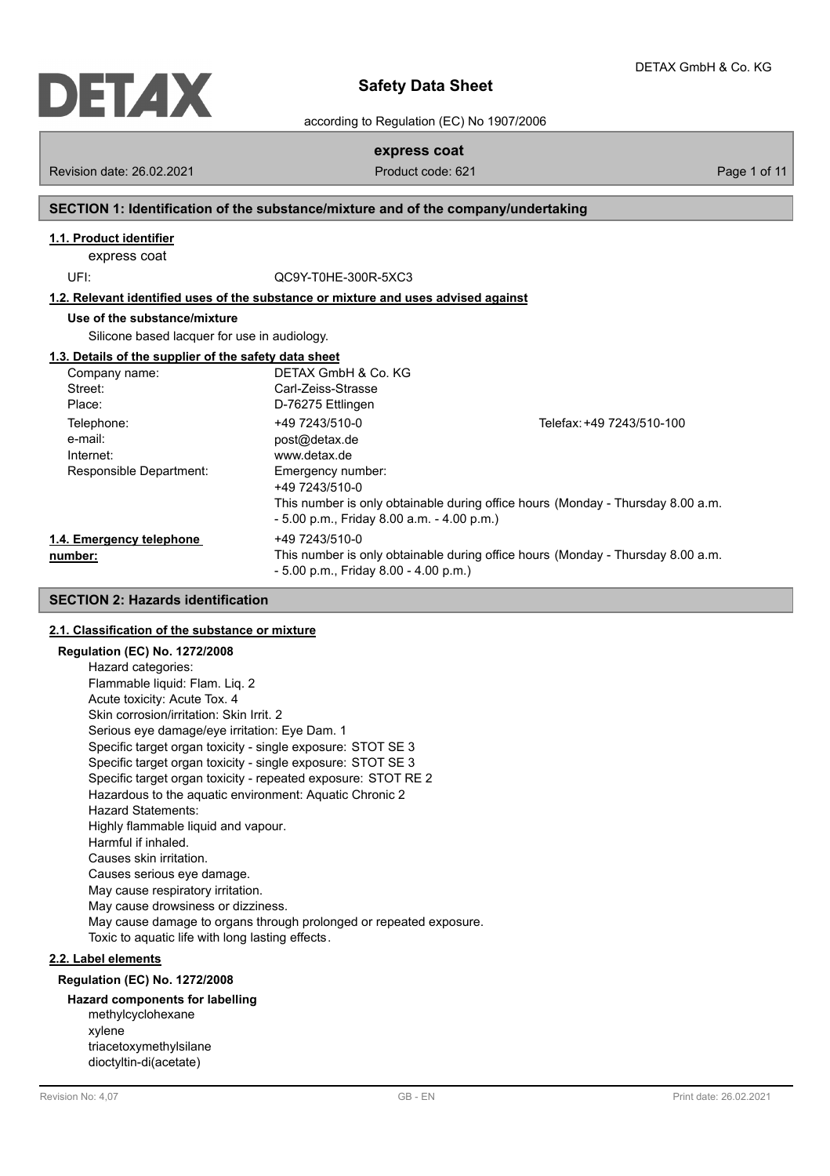

according to Regulation (EC) No 1907/2006

# **express coat**

Revision date: 26.02.2021 **Product code: 621** Page 1 of 11

# **SECTION 1: Identification of the substance/mixture and of the company/undertaking**

# **1.1. Product identifier**

express coat

UFI: QC9Y-T0HE-300R-5XC3

**1.2. Relevant identified uses of the substance or mixture and uses advised against**

## **Use of the substance/mixture**

Silicone based lacquer for use in audiology.

#### **1.3. Details of the supplier of the safety data sheet**

| Company name:            | DETAX GmbH & Co. KG                          |                                                                                 |
|--------------------------|----------------------------------------------|---------------------------------------------------------------------------------|
| Street:                  | Carl-Zeiss-Strasse                           |                                                                                 |
| Place:                   | D-76275 Ettlingen                            |                                                                                 |
| Telephone:               | +49 7243/510-0                               | Telefax: +49 7243/510-100                                                       |
| e-mail:                  | post@detax.de                                |                                                                                 |
| Internet:                | www.detax.de                                 |                                                                                 |
| Responsible Department:  | Emergency number:<br>+49 7243/510-0          |                                                                                 |
|                          | $-5.00$ p.m., Friday 8.00 a.m. $-4.00$ p.m.) | This number is only obtainable during office hours (Monday - Thursday 8.00 a.m. |
| 1.4. Emergency telephone | +49 7243/510-0                               |                                                                                 |
| number:                  | $-5.00$ p.m., Friday 8.00 $-4.00$ p.m.)      | This number is only obtainable during office hours (Monday - Thursday 8.00 a.m. |

## **SECTION 2: Hazards identification**

### **2.1. Classification of the substance or mixture**

## **Regulation (EC) No. 1272/2008**

Hazard categories: Flammable liquid: Flam. Liq. 2 Acute toxicity: Acute Tox. 4 Skin corrosion/irritation: Skin Irrit. 2 Serious eye damage/eye irritation: Eye Dam. 1 Specific target organ toxicity - single exposure: STOT SE 3 Specific target organ toxicity - single exposure: STOT SE 3 Specific target organ toxicity - repeated exposure: STOT RE 2 Hazardous to the aquatic environment: Aquatic Chronic 2 Hazard Statements: Highly flammable liquid and vapour. Harmful if inhaled. Causes skin irritation. Causes serious eye damage. May cause respiratory irritation. May cause drowsiness or dizziness. May cause damage to organs through prolonged or repeated exposure. Toxic to aquatic life with long lasting effects.

## **2.2. Label elements**

#### **Regulation (EC) No. 1272/2008**

## **Hazard components for labelling**

methylcyclohexane xylene triacetoxymethylsilane dioctyltin-di(acetate)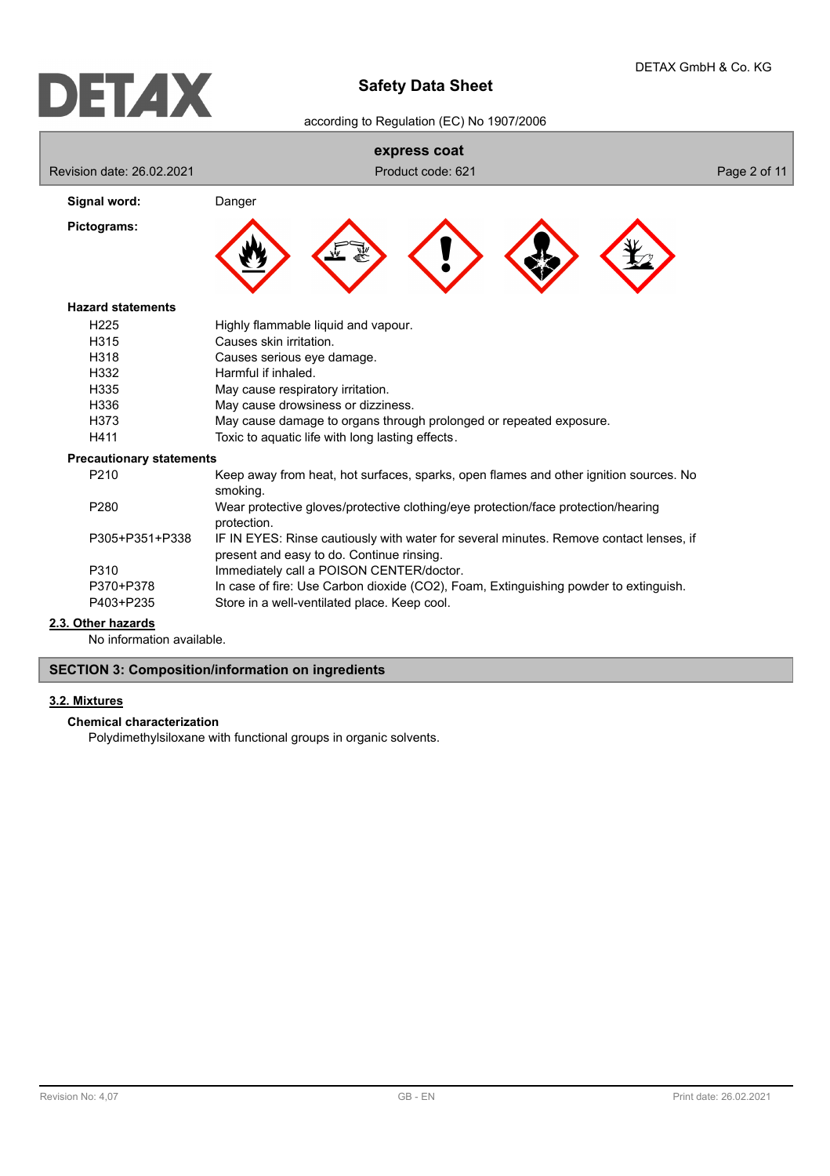according to Regulation (EC) No 1907/2006

|                                 | express coat                                                                                                                        |              |
|---------------------------------|-------------------------------------------------------------------------------------------------------------------------------------|--------------|
| Revision date: 26.02.2021       | Product code: 621                                                                                                                   | Page 2 of 11 |
| Signal word:                    | Danger                                                                                                                              |              |
| Pictograms:                     |                                                                                                                                     |              |
| <b>Hazard statements</b>        |                                                                                                                                     |              |
| H <sub>225</sub>                | Highly flammable liquid and vapour.                                                                                                 |              |
| H315                            | Causes skin irritation.                                                                                                             |              |
| H <sub>318</sub>                | Causes serious eye damage.                                                                                                          |              |
| H332                            | Harmful if inhaled.                                                                                                                 |              |
| H335                            | May cause respiratory irritation.                                                                                                   |              |
| H336                            | May cause drowsiness or dizziness.                                                                                                  |              |
| H373                            | May cause damage to organs through prolonged or repeated exposure.                                                                  |              |
| H411                            | Toxic to aquatic life with long lasting effects.                                                                                    |              |
| <b>Precautionary statements</b> |                                                                                                                                     |              |
| P210                            | Keep away from heat, hot surfaces, sparks, open flames and other ignition sources. No<br>smoking.                                   |              |
| P280                            | Wear protective gloves/protective clothing/eye protection/face protection/hearing<br>protection.                                    |              |
| P305+P351+P338                  | IF IN EYES: Rinse cautiously with water for several minutes. Remove contact lenses, if<br>present and easy to do. Continue rinsing. |              |
| P310                            | Immediately call a POISON CENTER/doctor.                                                                                            |              |
| P370+P378                       | In case of fire: Use Carbon dioxide (CO2), Foam, Extinguishing powder to extinguish.                                                |              |
| P403+P235                       | Store in a well-ventilated place. Keep cool.                                                                                        |              |
| 2.3. Other hazards              |                                                                                                                                     |              |

No information available.

# **SECTION 3: Composition/information on ingredients**

# **3.2. Mixtures**

### **Chemical characterization**

Polydimethylsiloxane with functional groups in organic solvents.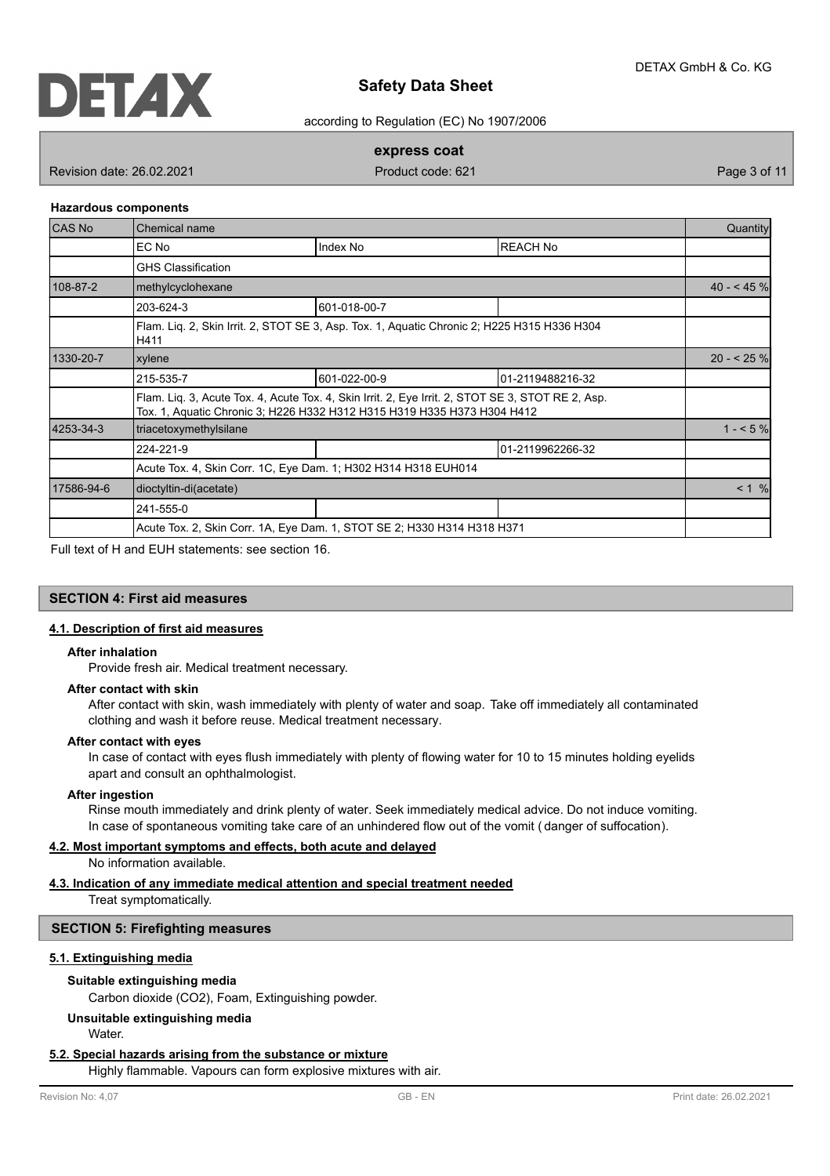

according to Regulation (EC) No 1907/2006

## **express coat**

Revision date: 26.02.2021 **Product code: 621** Page 3 of 11

#### **Hazardous components**

| <b>CAS No</b> | Chemical name                                                  |                                                                                                                                                                              |                   |           |  |
|---------------|----------------------------------------------------------------|------------------------------------------------------------------------------------------------------------------------------------------------------------------------------|-------------------|-----------|--|
|               | EC No                                                          | Index No                                                                                                                                                                     | <b>IREACH No</b>  |           |  |
|               | <b>GHS Classification</b>                                      |                                                                                                                                                                              |                   |           |  |
| 108-87-2      | methylcyclohexane                                              |                                                                                                                                                                              |                   |           |  |
|               | 203-624-3                                                      | 601-018-00-7                                                                                                                                                                 |                   |           |  |
|               | H411                                                           | Flam. Liq. 2, Skin Irrit. 2, STOT SE 3, Asp. Tox. 1, Aquatic Chronic 2; H225 H315 H336 H304                                                                                  |                   |           |  |
| 1330-20-7     | xylene                                                         |                                                                                                                                                                              |                   |           |  |
|               | 215-535-7                                                      | 601-022-00-9                                                                                                                                                                 | 101-2119488216-32 |           |  |
|               |                                                                | Flam. Lig. 3, Acute Tox. 4, Acute Tox. 4, Skin Irrit. 2, Eye Irrit. 2, STOT SE 3, STOT RE 2, Asp.<br>Tox. 1, Aquatic Chronic 3; H226 H332 H312 H315 H319 H335 H373 H304 H412 |                   |           |  |
| 4253-34-3     | triacetoxymethylsilane                                         |                                                                                                                                                                              |                   | $1 - 5\%$ |  |
|               | 224-221-9                                                      |                                                                                                                                                                              | 01-2119962266-32  |           |  |
|               | Acute Tox. 4, Skin Corr. 1C, Eye Dam. 1; H302 H314 H318 EUH014 |                                                                                                                                                                              |                   |           |  |
| 17586-94-6    | dioctyltin-di(acetate)                                         |                                                                                                                                                                              |                   |           |  |
|               | 241-555-0                                                      |                                                                                                                                                                              |                   |           |  |
|               |                                                                | Acute Tox. 2, Skin Corr. 1A, Eye Dam. 1, STOT SE 2; H330 H314 H318 H371                                                                                                      |                   |           |  |

Full text of H and EUH statements: see section 16.

## **SECTION 4: First aid measures**

## **4.1. Description of first aid measures**

#### **After inhalation**

Provide fresh air. Medical treatment necessary.

#### **After contact with skin**

After contact with skin, wash immediately with plenty of water and soap. Take off immediately all contaminated clothing and wash it before reuse. Medical treatment necessary.

## **After contact with eyes**

In case of contact with eyes flush immediately with plenty of flowing water for 10 to 15 minutes holding eyelids apart and consult an ophthalmologist.

#### **After ingestion**

Rinse mouth immediately and drink plenty of water. Seek immediately medical advice. Do not induce vomiting. In case of spontaneous vomiting take care of an unhindered flow out of the vomit ( danger of suffocation).

### **4.2. Most important symptoms and effects, both acute and delayed**

No information available.

## **4.3. Indication of any immediate medical attention and special treatment needed**

Treat symptomatically.

## **SECTION 5: Firefighting measures**

## **5.1. Extinguishing media**

#### **Suitable extinguishing media**

Carbon dioxide (CO2), Foam, Extinguishing powder.

## **Unsuitable extinguishing media**

Water.

#### **5.2. Special hazards arising from the substance or mixture**

Highly flammable. Vapours can form explosive mixtures with air.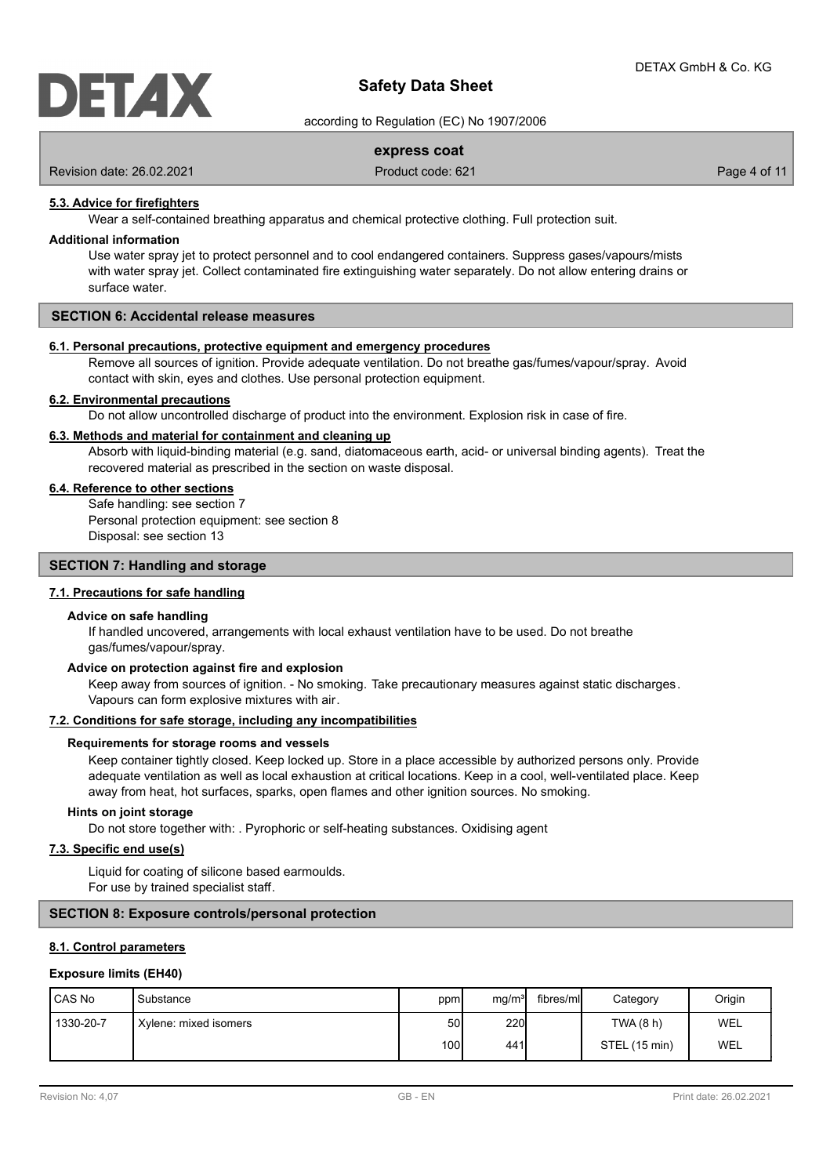

according to Regulation (EC) No 1907/2006

## **express coat**

Revision date: 26.02.2021 **Product code: 621** Page 4 of 11

#### **5.3. Advice for firefighters**

Wear a self-contained breathing apparatus and chemical protective clothing. Full protection suit.

#### **Additional information**

Use water spray jet to protect personnel and to cool endangered containers. Suppress gases/vapours/mists with water spray jet. Collect contaminated fire extinguishing water separately. Do not allow entering drains or surface water.

## **SECTION 6: Accidental release measures**

#### **6.1. Personal precautions, protective equipment and emergency procedures**

Remove all sources of ignition. Provide adequate ventilation. Do not breathe gas/fumes/vapour/spray. Avoid contact with skin, eyes and clothes. Use personal protection equipment.

#### **6.2. Environmental precautions**

Do not allow uncontrolled discharge of product into the environment. Explosion risk in case of fire.

#### **6.3. Methods and material for containment and cleaning up**

Absorb with liquid-binding material (e.g. sand, diatomaceous earth, acid- or universal binding agents). Treat the recovered material as prescribed in the section on waste disposal.

#### **6.4. Reference to other sections**

Safe handling: see section 7 Personal protection equipment: see section 8 Disposal: see section 13

#### **SECTION 7: Handling and storage**

## **7.1. Precautions for safe handling**

#### **Advice on safe handling**

If handled uncovered, arrangements with local exhaust ventilation have to be used. Do not breathe gas/fumes/vapour/spray.

#### **Advice on protection against fire and explosion**

Keep away from sources of ignition. - No smoking. Take precautionary measures against static discharges. Vapours can form explosive mixtures with air.

## **7.2. Conditions for safe storage, including any incompatibilities**

#### **Requirements for storage rooms and vessels**

Keep container tightly closed. Keep locked up. Store in a place accessible by authorized persons only. Provide adequate ventilation as well as local exhaustion at critical locations. Keep in a cool, well-ventilated place. Keep away from heat, hot surfaces, sparks, open flames and other ignition sources. No smoking.

#### **Hints on joint storage**

Do not store together with: . Pyrophoric or self-heating substances. Oxidising agent

## **7.3. Specific end use(s)**

Liquid for coating of silicone based earmoulds. For use by trained specialist staff.

## **SECTION 8: Exposure controls/personal protection**

### **8.1. Control parameters**

#### **Exposure limits (EH40)**

| I CAS No  | Substance             | ppm  | mg/m <sup>3</sup> | fibres/mll | Category      | Origin |
|-----------|-----------------------|------|-------------------|------------|---------------|--------|
| 1330-20-7 | Xylene: mixed isomers | 50I  | <b>220</b>        |            | TWA(8 h)      | WEL    |
|           |                       | 100l | 441I              |            | STEL (15 min) | WEL    |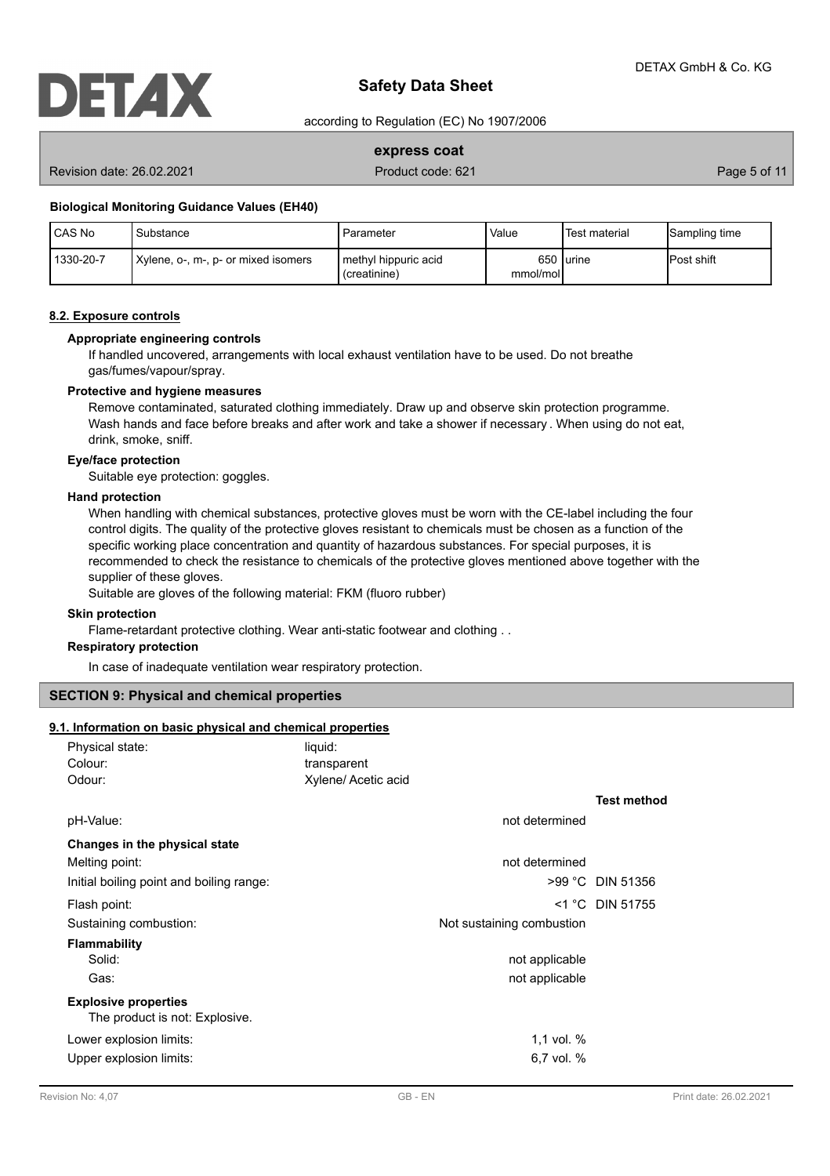

according to Regulation (EC) No 1907/2006

## **express coat**

Revision date: 26.02.2021 **Product code: 621** Page 5 of 11

#### **Biological Monitoring Guidance Values (EH40)**

| CAS No    | Substance                           | Parameter                              | Value    | Test material | Sampling time      |
|-----------|-------------------------------------|----------------------------------------|----------|---------------|--------------------|
| 1330-20-7 | Xylene, o-, m-, p- or mixed isomers | I methyl hippuric acid<br>(creatinine) | mmol/mol | 650 lurine    | <b>IPost shift</b> |

#### **8.2. Exposure controls**

## **Appropriate engineering controls**

If handled uncovered, arrangements with local exhaust ventilation have to be used. Do not breathe gas/fumes/vapour/spray.

#### **Protective and hygiene measures**

Remove contaminated, saturated clothing immediately. Draw up and observe skin protection programme. Wash hands and face before breaks and after work and take a shower if necessary . When using do not eat, drink, smoke, sniff.

## **Eye/face protection**

Suitable eye protection: goggles.

#### **Hand protection**

When handling with chemical substances, protective gloves must be worn with the CE-label including the four control digits. The quality of the protective gloves resistant to chemicals must be chosen as a function of the specific working place concentration and quantity of hazardous substances. For special purposes, it is recommended to check the resistance to chemicals of the protective gloves mentioned above together with the supplier of these gloves.

Suitable are gloves of the following material: FKM (fluoro rubber)

#### **Skin protection**

Flame-retardant protective clothing. Wear anti-static footwear and clothing . .

## **Respiratory protection**

In case of inadequate ventilation wear respiratory protection.

## **SECTION 9: Physical and chemical properties**

#### **9.1. Information on basic physical and chemical properties**

| Physical state:                          | liquid:             |                           |                    |
|------------------------------------------|---------------------|---------------------------|--------------------|
| Colour:                                  | transparent         |                           |                    |
| Odour:                                   | Xylene/ Acetic acid |                           |                    |
|                                          |                     |                           | <b>Test method</b> |
| pH-Value:                                |                     | not determined            |                    |
| Changes in the physical state            |                     |                           |                    |
| Melting point:                           |                     | not determined            |                    |
| Initial boiling point and boiling range: |                     |                           | >99 °C DIN 51356   |
| Flash point:                             |                     |                           | $<$ 1 °C DIN 51755 |
| Sustaining combustion:                   |                     | Not sustaining combustion |                    |
| <b>Flammability</b>                      |                     |                           |                    |
| Solid:                                   |                     | not applicable            |                    |
| Gas:                                     |                     | not applicable            |                    |
| <b>Explosive properties</b>              |                     |                           |                    |
| The product is not: Explosive.           |                     |                           |                    |
| Lower explosion limits:                  |                     | 1.1 vol. $%$              |                    |
| Upper explosion limits:                  |                     | 6,7 vol. $%$              |                    |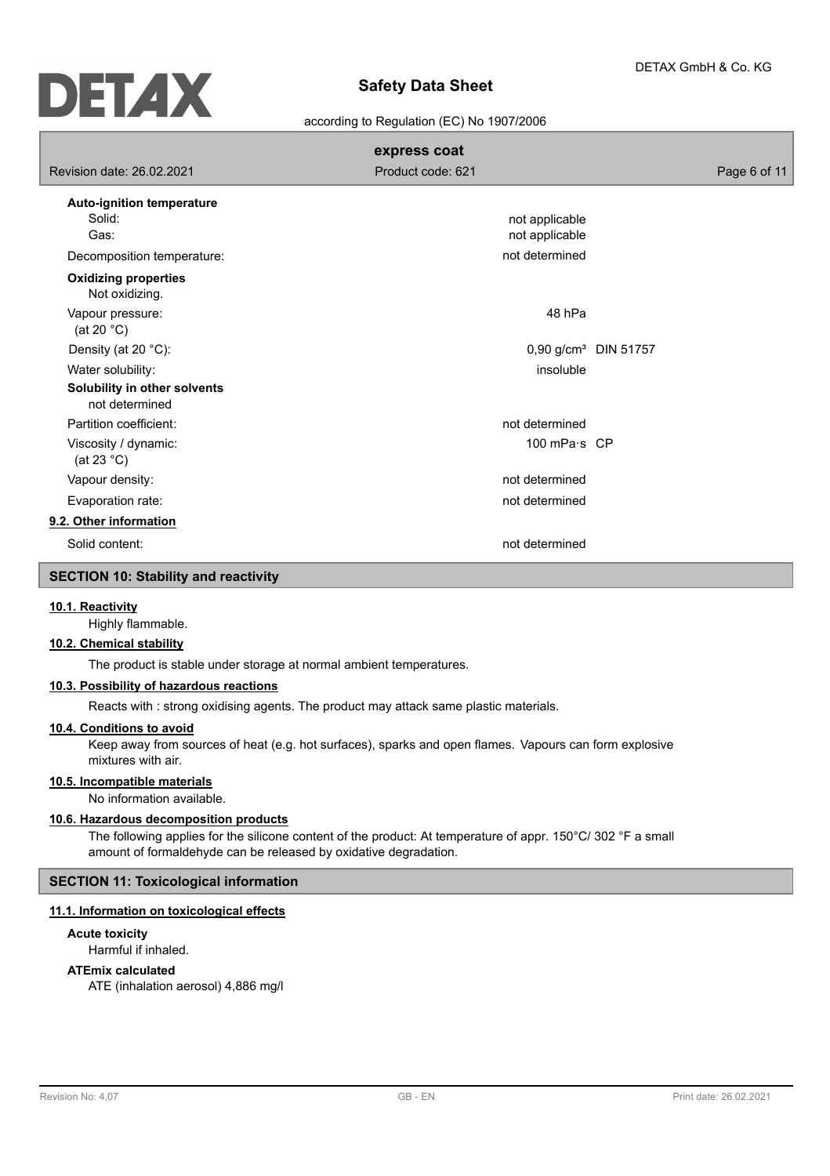

#### according to Regulation (EC) No 1907/2006

|                                                | express coat                     |                                  |
|------------------------------------------------|----------------------------------|----------------------------------|
| Revision date: 26.02.2021                      | Product code: 621                | Page 6 of 11                     |
| Auto-ignition temperature                      |                                  |                                  |
| Solid:<br>Gas:                                 | not applicable<br>not applicable |                                  |
| Decomposition temperature:                     | not determined                   |                                  |
| <b>Oxidizing properties</b><br>Not oxidizing.  |                                  |                                  |
| Vapour pressure:<br>(at 20 $^{\circ}$ C)       | 48 hPa                           |                                  |
| Density (at 20 °C):                            |                                  | 0,90 g/cm <sup>3</sup> DIN 51757 |
| Water solubility:                              | insoluble                        |                                  |
| Solubility in other solvents<br>not determined |                                  |                                  |
| Partition coefficient:                         | not determined                   |                                  |
| Viscosity / dynamic:<br>(at 23 $^{\circ}$ C)   | 100 mPa·s CP                     |                                  |
| Vapour density:                                | not determined                   |                                  |
| Evaporation rate:                              | not determined                   |                                  |
| 9.2. Other information                         |                                  |                                  |
| Solid content:                                 | not determined                   |                                  |
|                                                |                                  |                                  |

# **SECTION 10: Stability and reactivity**

#### **10.1. Reactivity**

Highly flammable.

## **10.2. Chemical stability**

The product is stable under storage at normal ambient temperatures.

### **10.3. Possibility of hazardous reactions**

Reacts with : strong oxidising agents. The product may attack same plastic materials.

### **10.4. Conditions to avoid**

Keep away from sources of heat (e.g. hot surfaces), sparks and open flames. Vapours can form explosive mixtures with air.

# **10.5. Incompatible materials**

No information available.

# **10.6. Hazardous decomposition products**

The following applies for the silicone content of the product: At temperature of appr. 150°C/ 302 °F a small amount of formaldehyde can be released by oxidative degradation.

## **SECTION 11: Toxicological information**

## **11.1. Information on toxicological effects**

**Acute toxicity**

Harmful if inhaled.

### **ATEmix calculated**

ATE (inhalation aerosol) 4,886 mg/l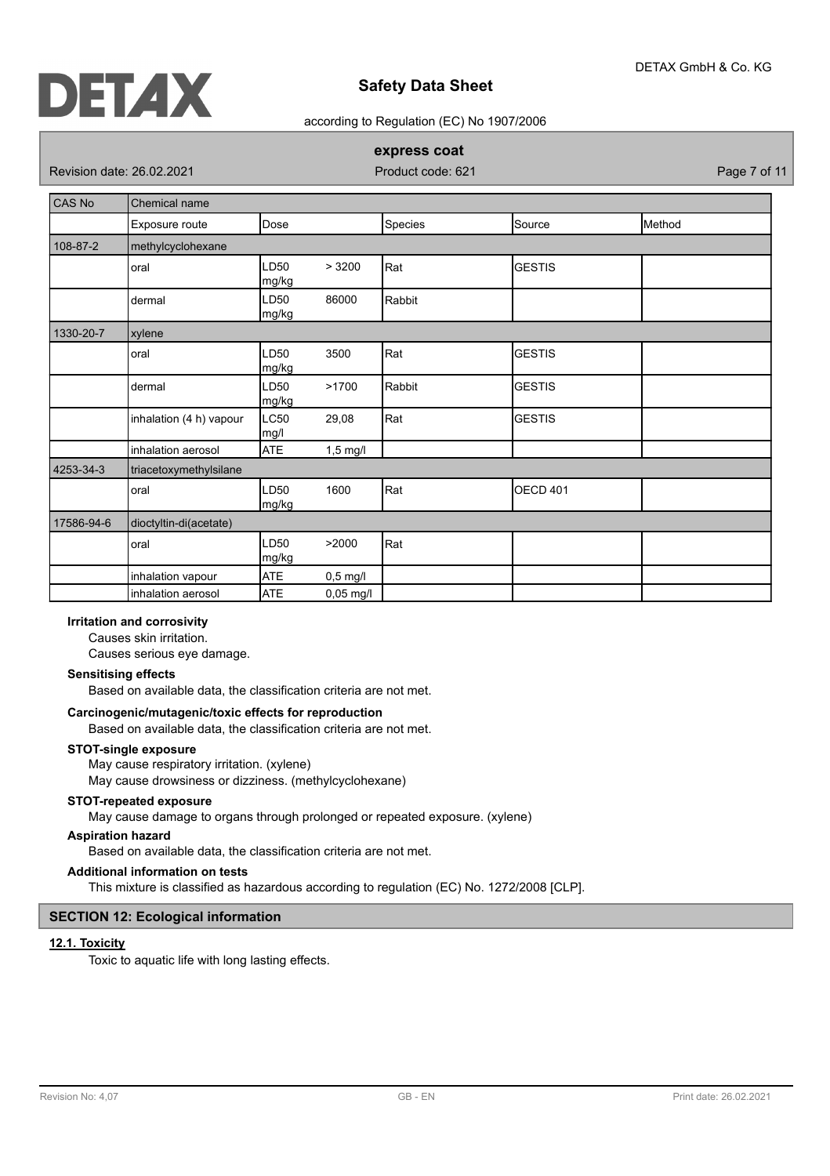

#### according to Regulation (EC) No 1907/2006

## **express coat**

Revision date: 26.02.2021 **Product code: 621** Page 7 of 11

| CAS No     | Chemical name           |               |             |         |                 |        |
|------------|-------------------------|---------------|-------------|---------|-----------------|--------|
|            | Exposure route          | Dose          |             | Species | Source          | Method |
| 108-87-2   | methylcyclohexane       |               |             |         |                 |        |
|            | oral                    | LD50<br>mg/kg | > 3200      | Rat     | <b>GESTIS</b>   |        |
|            | dermal                  | LD50<br>mg/kg | 86000       | Rabbit  |                 |        |
| 1330-20-7  | xylene                  |               |             |         |                 |        |
|            | oral                    | LD50<br>mg/kg | 3500        | Rat     | <b>GESTIS</b>   |        |
|            | dermal                  | LD50<br>mg/kg | >1700       | Rabbit  | <b>GESTIS</b>   |        |
|            | inhalation (4 h) vapour | LC50<br>mg/l  | 29,08       | Rat     | <b>GESTIS</b>   |        |
|            | inhalation aerosol      | <b>ATE</b>    | $1,5$ mg/l  |         |                 |        |
| 4253-34-3  | triacetoxymethylsilane  |               |             |         |                 |        |
|            | oral                    | LD50<br>mg/kg | 1600        | Rat     | <b>OECD 401</b> |        |
| 17586-94-6 | dioctyltin-di(acetate)  |               |             |         |                 |        |
|            | oral                    | LD50<br>mg/kg | >2000       | Rat     |                 |        |
|            | inhalation vapour       | <b>ATE</b>    | $0,5$ mg/l  |         |                 |        |
|            | inhalation aerosol      | <b>ATE</b>    | $0,05$ mg/l |         |                 |        |

## **Irritation and corrosivity**

Causes skin irritation.

Causes serious eye damage.

#### **Sensitising effects**

Based on available data, the classification criteria are not met.

#### **Carcinogenic/mutagenic/toxic effects for reproduction**

Based on available data, the classification criteria are not met.

#### **STOT-single exposure**

May cause respiratory irritation. (xylene)

May cause drowsiness or dizziness. (methylcyclohexane)

## **STOT-repeated exposure**

May cause damage to organs through prolonged or repeated exposure. (xylene)

### **Aspiration hazard**

Based on available data, the classification criteria are not met.

### **Additional information on tests**

This mixture is classified as hazardous according to regulation (EC) No. 1272/2008 [CLP].

## **SECTION 12: Ecological information**

#### **12.1. Toxicity**

Toxic to aquatic life with long lasting effects.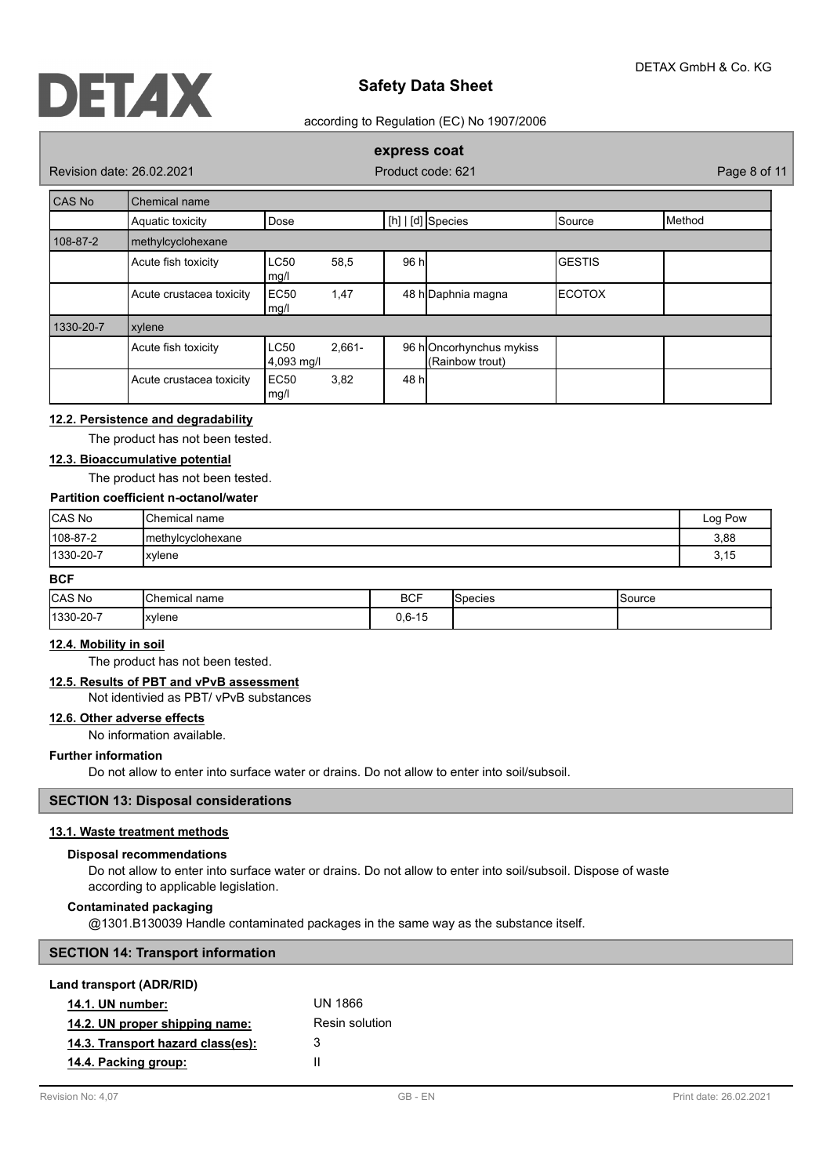

#### according to Regulation (EC) No 1907/2006

## **express coat**

Revision date: 26.02.2021 **Product code: 621** Page 8 of 11

| CAS No    | Chemical name            |                           |           |       |                                            |               |        |
|-----------|--------------------------|---------------------------|-----------|-------|--------------------------------------------|---------------|--------|
|           | Aquatic toxicity         | Dose                      |           |       | $[h]   [d]$ Species                        | Source        | Method |
| 108-87-2  | methylcyclohexane        |                           |           |       |                                            |               |        |
|           | Acute fish toxicity      | <b>LC50</b><br>mg/l       | 58,5      | 96 h  |                                            | <b>GESTIS</b> |        |
|           | Acute crustacea toxicity | EC <sub>50</sub><br>mg/l  | 1,47      |       | 48 h Daphnia magna                         | ΙΕCΟΤΟΧ       |        |
| 1330-20-7 | xylene                   |                           |           |       |                                            |               |        |
|           | Acute fish toxicity      | <b>LC50</b><br>4,093 mg/l | $2.661 -$ |       | 96 hOncorhynchus mykiss<br>(Rainbow trout) |               |        |
|           | Acute crustacea toxicity | EC <sub>50</sub><br>mg/l  | 3,82      | 48 hl |                                            |               |        |

## **12.2. Persistence and degradability**

The product has not been tested.

## **12.3. Bioaccumulative potential**

The product has not been tested.

# **Partition coefficient n-octanol/water**

| CAS No           | <b>Chemical name</b> | Log Pow |
|------------------|----------------------|---------|
| $ 108-87-2$      | Imethylcyclohexane   | 3,88    |
| $ 1330 - 20 - 7$ | xylene               | 3,15    |

## **BCF**

| <b>CAS No</b> | lChemical<br>name<br>$ -$ | <b>BCF</b> | 'Snecies | Source |
|---------------|---------------------------|------------|----------|--------|
| 1330-20-7     | xylene                    | $0,6-15$   |          |        |

## **12.4. Mobility in soil**

The product has not been tested.

# **12.5. Results of PBT and vPvB assessment**

Not identivied as PBT/ vPvB substances

## **12.6. Other adverse effects**

No information available.

#### **Further information**

Do not allow to enter into surface water or drains. Do not allow to enter into soil/subsoil.

#### **SECTION 13: Disposal considerations**

# **13.1. Waste treatment methods**

#### **Disposal recommendations**

Do not allow to enter into surface water or drains. Do not allow to enter into soil/subsoil. Dispose of waste according to applicable legislation.

## **Contaminated packaging**

@1301.B130039 Handle contaminated packages in the same way as the substance itself.

| <b>SECTION 14: Transport information</b> |  |
|------------------------------------------|--|
|------------------------------------------|--|

#### **Land transport (ADR/RID)**

| <b>14.1. UN number:</b>           | UN 1866        |
|-----------------------------------|----------------|
| 14.2. UN proper shipping name:    | Resin solution |
| 14.3. Transport hazard class(es): | 3              |
| 14.4. Packing group:              | Ш              |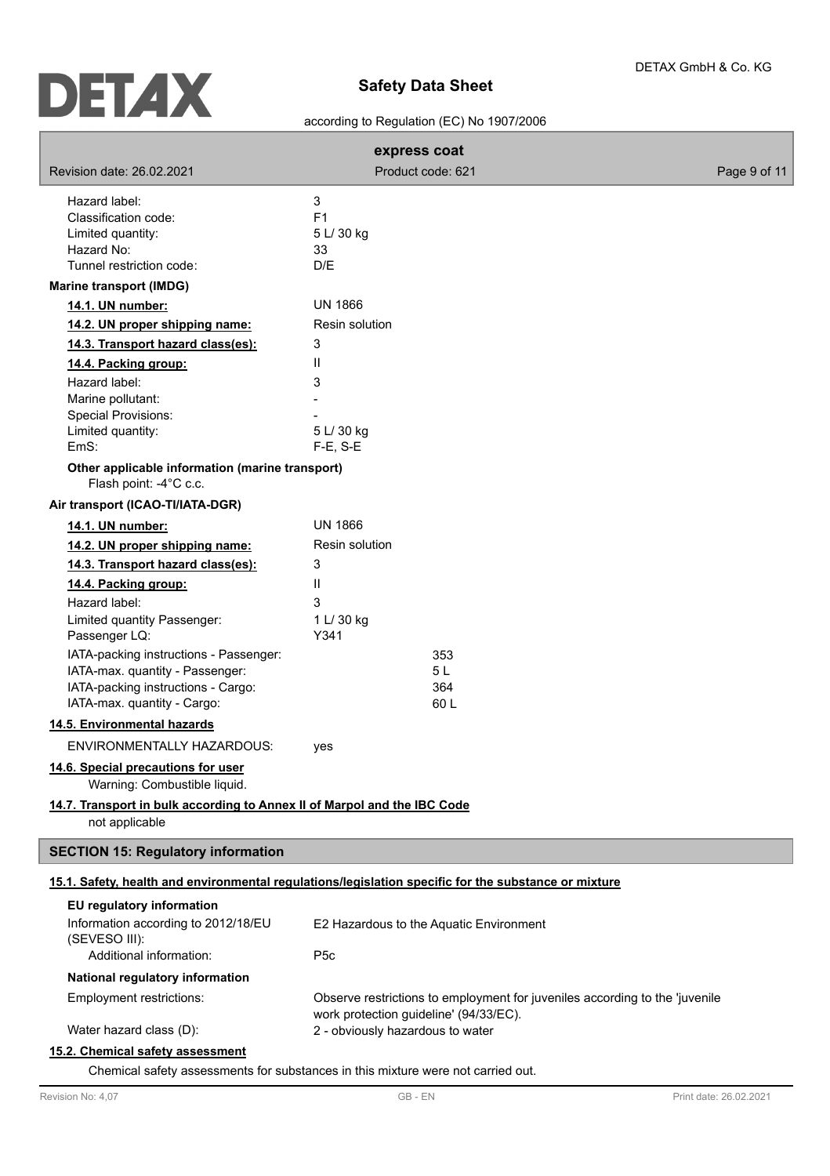# according to Regulation (EC) No 1907/2006

|                                                                           | express coat                                                                                         |              |
|---------------------------------------------------------------------------|------------------------------------------------------------------------------------------------------|--------------|
| Revision date: 26.02.2021                                                 | Product code: 621                                                                                    | Page 9 of 11 |
| Hazard label:                                                             | 3                                                                                                    |              |
| Classification code:                                                      | F <sub>1</sub>                                                                                       |              |
| Limited quantity:                                                         | 5 L/ 30 kg                                                                                           |              |
| Hazard No:                                                                | 33                                                                                                   |              |
| Tunnel restriction code:                                                  | D/E                                                                                                  |              |
| <b>Marine transport (IMDG)</b>                                            |                                                                                                      |              |
| 14.1. UN number:                                                          | <b>UN 1866</b>                                                                                       |              |
| 14.2. UN proper shipping name:                                            | Resin solution                                                                                       |              |
| 14.3. Transport hazard class(es):                                         | 3                                                                                                    |              |
| 14.4. Packing group:                                                      | Ш                                                                                                    |              |
| Hazard label:                                                             | 3                                                                                                    |              |
| Marine pollutant:                                                         |                                                                                                      |              |
| <b>Special Provisions:</b>                                                |                                                                                                      |              |
| Limited quantity:                                                         | 5 L/ 30 kg                                                                                           |              |
| EmS:                                                                      | $F-E$ , S-E                                                                                          |              |
| Other applicable information (marine transport)<br>Flash point: -4°C c.c. |                                                                                                      |              |
| Air transport (ICAO-TI/IATA-DGR)                                          |                                                                                                      |              |
| 14.1. UN number:                                                          | <b>UN 1866</b>                                                                                       |              |
| 14.2. UN proper shipping name:                                            | Resin solution                                                                                       |              |
| 14.3. Transport hazard class(es):                                         | 3                                                                                                    |              |
| 14.4. Packing group:                                                      | Ш                                                                                                    |              |
| Hazard label:                                                             | 3                                                                                                    |              |
| Limited quantity Passenger:                                               | 1 L/ 30 kg                                                                                           |              |
| Passenger LQ:                                                             | Y341                                                                                                 |              |
| IATA-packing instructions - Passenger:                                    | 353                                                                                                  |              |
| IATA-max. quantity - Passenger:                                           | 5 L                                                                                                  |              |
| IATA-packing instructions - Cargo:                                        | 364                                                                                                  |              |
| IATA-max. quantity - Cargo:                                               | 60L                                                                                                  |              |
| 14.5. Environmental hazards                                               |                                                                                                      |              |
| <b>ENVIRONMENTALLY HAZARDOUS:</b>                                         | yes                                                                                                  |              |
| 14.6. Special precautions for user<br>Warning: Combustible liquid.        |                                                                                                      |              |
| 14.7. Transport in bulk according to Annex II of Marpol and the IBC Code  |                                                                                                      |              |
| not applicable                                                            |                                                                                                      |              |
| <b>SECTION 15: Regulatory information</b>                                 |                                                                                                      |              |
|                                                                           | 15.1. Safety, health and environmental regulations/legislation specific for the substance or mixture |              |
| EU regulatory information                                                 |                                                                                                      |              |
| Information according to 2012/18/EU                                       | E2 Hazardous to the Aquatic Environment                                                              |              |
| (SEVESO III):                                                             |                                                                                                      |              |
| Additional information:                                                   | P <sub>5</sub> c                                                                                     |              |
| National regulatory information                                           |                                                                                                      |              |
| Employment restrictions:                                                  | Observe restrictions to employment for juveniles according to the 'juvenile                          |              |
|                                                                           | work protection guideline' (94/33/EC).                                                               |              |
| Water hazard class (D):                                                   | 2 - obviously hazardous to water                                                                     |              |
| 15.2. Chemical safety assessment                                          |                                                                                                      |              |

Chemical safety assessments for substances in this mixture were not carried out.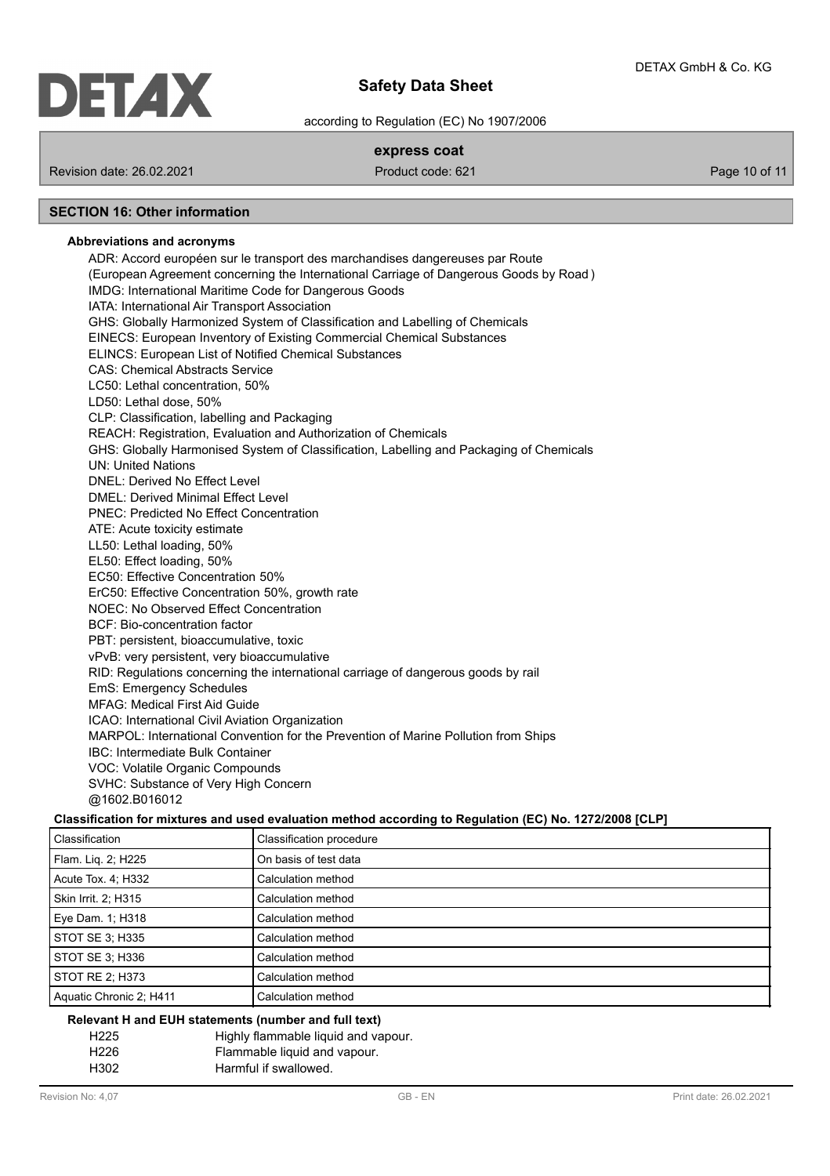

according to Regulation (EC) No 1907/2006

## **express coat**

Revision date: 26.02.2021 **Product code: 621** Product code: 621 **Page 10 of 11** Page 10 of 11

# **SECTION 16: Other information**

### **Abbreviations and acronyms**

ADR: Accord européen sur le transport des marchandises dangereuses par Route (European Agreement concerning the International Carriage of Dangerous Goods by Road ) IMDG: International Maritime Code for Dangerous Goods IATA: International Air Transport Association GHS: Globally Harmonized System of Classification and Labelling of Chemicals EINECS: European Inventory of Existing Commercial Chemical Substances ELINCS: European List of Notified Chemical Substances CAS: Chemical Abstracts Service LC50: Lethal concentration, 50% LD50: Lethal dose, 50% CLP: Classification, labelling and Packaging REACH: Registration, Evaluation and Authorization of Chemicals GHS: Globally Harmonised System of Classification, Labelling and Packaging of Chemicals UN: United Nations DNEL: Derived No Effect Level DMEL: Derived Minimal Effect Level PNEC: Predicted No Effect Concentration ATE: Acute toxicity estimate LL50: Lethal loading, 50% EL50: Effect loading, 50% EC50: Effective Concentration 50% ErC50: Effective Concentration 50%, growth rate NOEC: No Observed Effect Concentration BCF: Bio-concentration factor PBT: persistent, bioaccumulative, toxic vPvB: very persistent, very bioaccumulative RID: Regulations concerning the international carriage of dangerous goods by rail EmS: Emergency Schedules MFAG: Medical First Aid Guide ICAO: International Civil Aviation Organization MARPOL: International Convention for the Prevention of Marine Pollution from Ships IBC: Intermediate Bulk Container VOC: Volatile Organic Compounds SVHC: Substance of Very High Concern @1602.B016012

## **Classification for mixtures and used evaluation method according to Regulation (EC) No. 1272/2008 [CLP]**

| Classification          | Classification procedure |
|-------------------------|--------------------------|
| Flam. Lig. 2; H225      | On basis of test data    |
| Acute Tox. 4: H332      | Calculation method       |
| Skin Irrit. 2: H315     | Calculation method       |
| Eye Dam. 1; H318        | Calculation method       |
| STOT SE 3; H335         | Calculation method       |
| STOT SE 3; H336         | Calculation method       |
| STOT RE 2; H373         | Calculation method       |
| Aquatic Chronic 2; H411 | Calculation method       |

#### **Relevant H and EUH statements (number and full text)**

| H <sub>225</sub> | Highly flammable liquid and vapour. |  |
|------------------|-------------------------------------|--|
| H <sub>226</sub> | Flammable liquid and vapour.        |  |
| H302             | Harmful if swallowed.               |  |
|                  |                                     |  |